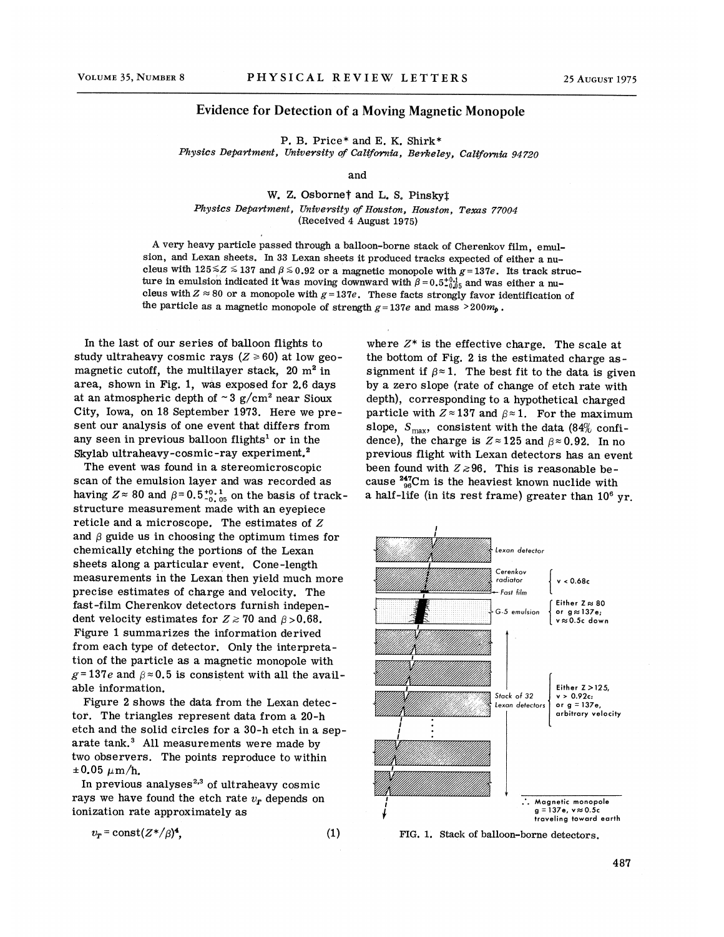## Evidence for Detection of a Moving Magnetic Monopole

P. B. Price\* and E. K. Shirk\*

Physics Department, University of California, Berkeley, California 94720

and

W. Z. Osbornet and L. S. Pinsky<sup>t</sup> Physics Department, University of Houston, Houston, Texas 77004 (Received 4 August 1975)

A very heavy particle passed through a balloon-borne stack of Cherenkov film, emulsion, and Lexan sheets. In 33 Lexan sheets it produced tracks expected of either a nucleus with  $125\leq Z \leq 137$  and  $\beta \leq 0.92$  or a magnetic monopole with  $g=137e$ . Its track structure in emulsion indicated it was moving downward with  $\beta = 0.5^{+0.1}_{-0.05}$  and was either a nucleus with  $Z \approx 80$  or a monopole with  $g=137e$ . These facts strongly favor identification of the particle as a magnetic monopole of strength  $g=137e$  and mass  $>200m_b$ .

In the last of our series of balloon flights to study ultraheavy cosmic rays ( $Z \ge 60$ ) at low geomagnetic cutoff, the multilayer stack,  $20 \text{ m}^2$  in area, shown in Fig. 1, was exposed for 2.6 days at an atmospheric depth of  $\sim 3$  g/cm<sup>2</sup> near Sioux City, Iowa, on 18 September 1973. Here we present our analysis of one event that differs from any seen in previous balloon flights' or in the Skylab ultraheavy-cosmic-ray experiment.<sup>2</sup>

j

The event was found in a stereomicroscopic scan of the emulsion layer and was recorded as having  $Z \approx 80$  and  $\beta = 0.5^{+0.1}_{-0.05}$  on the basis of trackstructure measurement made with an eyepiece reticle and a microscope. The estimates of Z and  $\beta$  guide us in choosing the optimum times for chemically etching the portions of the Lexan sheets along a particular event. Cone-length measurements in the Lexan then yield much more precise estimates of charge and velocity. The fast-film Cherenkov detectors furnish independent velocity estimates for  $Z \ge 70$  and  $\beta > 0.68$ . Figure 1 summarizes the information derived from each type of detector. Only the interpretation of the particle as a magnetic monopole with  $g = 137e$  and  $\beta \approx 0.5$  is consistent with all the available information.

Figure 2 shows the data from the Lexan detector. The triangles represent data from a 20-h etch and the solid circles for a 30-h etch in a separate tank.<sup>3</sup> All measurements were made by two observers. The points reproduce to within  $\pm 0.05 \ \mu \text{m/h}$ .

In previous analyses<sup>2,3</sup> of ultraheavy cosmic rays we have found the etch rate  $v_{\bm{r}}$  depends on ionization rate approximately as

$$
v_r = \text{const}(Z^*/\beta)^4,\tag{1}
$$

where  $Z^*$  is the effective charge. The scale at the bottom of Fig. <sup>2</sup> is the estimated charge assignment if  $\beta \approx 1$ . The best fit to the data is given by a zero slope (rate of change of etch rate with depth), corresponding to a hypothetical charged particle with  $Z \approx 137$  and  $\beta \approx 1$ . For the maximum slope,  $S_{\text{max}}$ , consistent with the data (84% confidence), the charge is  $Z \approx 125$  and  $\beta \approx 0.92$ . In no previous flight with Lexan detectors has an event been found with  $Z \ge 96$ . This is reasonable because  $^{247}_{96}$ Cm is the heaviest known nuclide with a half-life (in its rest frame) greater than  $10^6$  yr.



FIG. 1. Stack of balloon-borne detectors.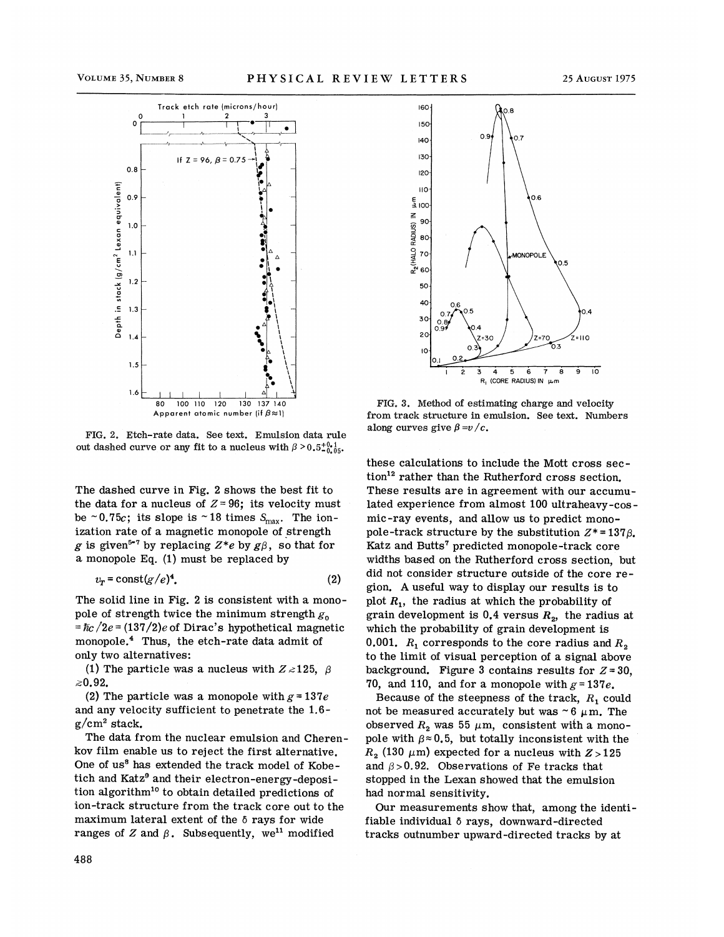

FIG. 2. Etch-rate data. See text. Emulsion data rule out dashed curve or any fit to a nucleus with  $\beta > 0.5^{+0.1}_{-0.05}$ .

The dashed curve in Fig. 2 shows the best fit to the data for a nucleus of  $Z=96$ ; its velocity must be ~0.75c; its slope is ~18 times  $S_{\text{max}}$ . The ionization rate of a magnetic monopole of strength zation rate of a magnetic monopole of strength<br>g is given<sup>5-7</sup> by replacing  $Z*e$  by  $g\beta$ , so that for a monopole Eq. (1) must be replaced by

$$
v_T = \text{const}(g/e)^4. \tag{2}
$$

The solid line in Fig. 2 is consistent with a monopole of strength twice the minimum strength  $g_0$  $=\frac{\hbar c}{2e}$  = (137/2)e of Dirac's hypothetical magnetic monopole. $4$  Thus, the etch-rate data admit of only two alternatives:

(1) The particle was a nucleus with  $Z \ge 125$ ,  $\beta$  $\ge 0.92$ .

(2) The particle was a monopole with  $g = 137e$ and any velocity sufficient to penetrate the 1.6  $g/cm^2$  stack.

The data from the nuclear emulsion and Cherenkov film enable us to reject the first alternative. One of us<sup>8</sup> has extended the track model of Kobetich and  $Katz<sup>9</sup>$  and their electron-energy-deposition algorithm<sup>10</sup> to obtain detailed predictions of ion-track structure from the track core out to the maximum lateral extent of the  $\delta$  rays for wide ranges of Z and  $\beta$ . Subsequently, we<sup>11</sup> modified



FIG. 3. Method of estimating charge and velocity from track structure in emulsion. See text. Numbers along curves give  $\beta = v/c$ .

these calculations to include the Mott cross sec $tion<sup>12</sup> rather than the Rutherford cross section.$ These results are in agreement with our accumulated experience from almost 100 ultraheavy-cosmic-ray events, and allow us to predict monopole-track structure by the substitution  $Z^* = 137\beta$ . Katz and Butts<sup>7</sup> predicted monopole-track core widths based on the Rutherford cross section, but did not consider structure outside of the core region. A useful way to display our results is to plot  $R_1$ , the radius at which the probability of grain development is 0.4 versus  $R_2$ , the radius at which the probability of grain development is 0.001.  $R_1$  corresponds to the core radius and  $R_2$ to the limit of visual perception of a signal above background. Figure 3 contains results for  $Z=30$ , 70, and 110, and for a monopole with  $g = 137e$ .

Because of the steepness of the track,  $R_1$  could not be measured accurately but was  $\sim 6 \mu$ m. The observed  $R_2$  was 55  $\mu$ m, consistent with a monopole with  $\beta \approx 0.5$ , but totally inconsistent with the  $R<sub>2</sub>$  (130  $\mu$ m) expected for a nucleus with  $Z>125$ and  $\beta > 0.92$ . Observations of Fe tracks that stopped in the Lexan showed that the emulsion had normal sensitivity.

Our measurements show that, among the identifiable individual 5 rays, downward-directed tracks outnumber upward-directed tracks by at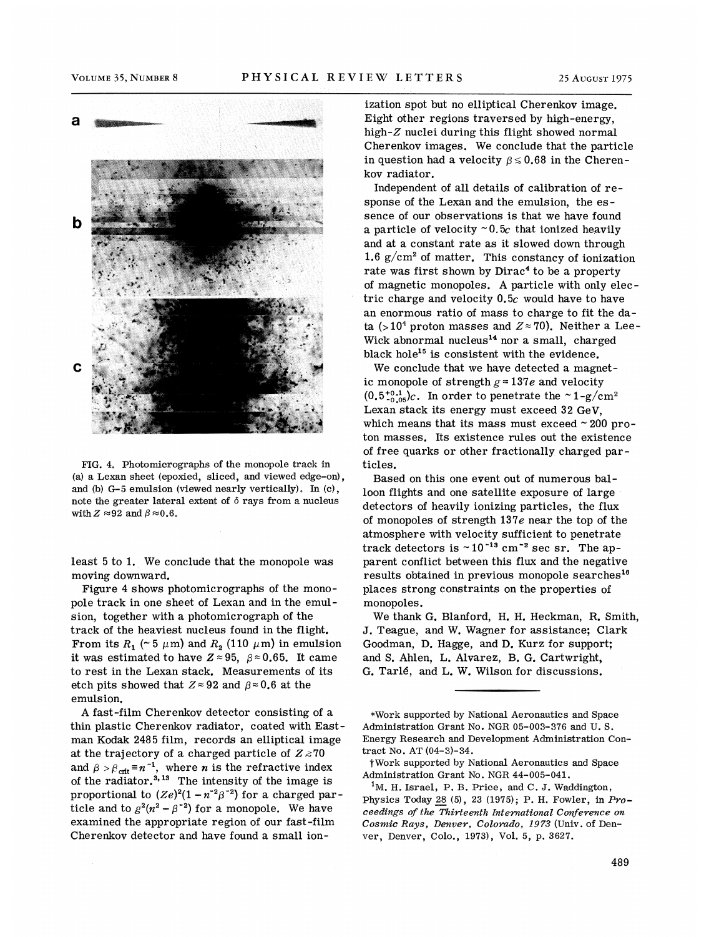

FIG. 4. Photomicrographs of the monopole track in (a) a Lexan sheet (epoxied, sliced, and viewed edge-on), and (b) G-5 emulsion (viewed nearly vertically). In (c), note the greater lateral extent of  $\delta$  rays from a nucleus with  $Z \approx 92$  and  $\beta \approx 0.6$ .

least 5 to 1. We conclude that the monopole was moving downward.

Figure 4 shows photomicrographs of the monopole track in one sheet of Lexan and in the emulsion, together with a photomicrograph of the track of the heaviest nucleus found in the flight. From its  $R_1$  (~5  $\mu$ m) and  $R_2$  (110  $\mu$ m) in emulsion it was estimated to have  $Z \approx 95,\,\,\,\beta \approx 0.65.\,\,$  It came to rest in the Lexan stack. Measurements of its etch pits showed that  $Z \approx 92$  and  $\beta \approx 0.6$  at the emulsion.

A fast-film Cherenkov detector consisting of a thin plastic Cherenkov radiator, coated with Eastman Kodak 2485 film, records an elliptical image at the trajectory of a charged particle of  $Z\approx70$ and  $\beta > \beta_{\text{crit}} = n^{-1}$ , where *n* is the refractive index of the radiator.<sup>3, 13</sup> The intensity of the image is of the radiator.<sup>3, 13</sup> The intensity of the image is proportional to  $(Ze)^2(1 - n^{-2}\beta^{-2})$  for a charged particle and to  $g^2(n^2 - \beta^{-2})$  for a monopole. We have examined the appropriate region of our fast-film Cherenkov detector and have found a small ion-

ization spot but no elliptical Cherenkov image. Eight other regions traversed by high-energy, high-Z nuclei during this flight showed normal Cherenkov images. We conclude that the particle in question had a velocity  $\beta \leq 0.68$  in the Cherenkov radiator.

Independent of all details of calibration of response of the Lexan and the emulsion, the essence of our observations is that we have found a particle of velocity  $\sim 0.5c$  that ionized heavily and at a constant rate as it slowed down through 1.6  $g/cm^2$  of matter. This constancy of ionization rate was first shown by Dirac<sup>4</sup> to be a property of magnetic monopoles. A particle with only electric charge and velocity 0.5c would have to have an enormous ratio of mass to charge to fit the data (>10<sup>4</sup> proton masses and  $Z \approx 70$ ). Neither a Lee-Wick abnormal nucleus<sup>14</sup> nor a small, charged black hole<sup>15</sup> is consistent with the evidence.

We conclude that we have detected a magnetic monopole of strength  $g = 137e$  and velocity  $(0.5^{+0.1}_{-0.05})c$ . In order to penetrate the  $\sim 1$ -g/cm Lexan stack its energy must exceed 32 Gev, which means that its mass must exceed  $\sim$  200 proton masses. Its existence rules out the existence of free quarks or other fractionally charged particles.

Based on this one event out of numerous balloon flights and one satellite exposure of large detectors of heavily ionizing particles, the flux of monopoles of strength 137e near the top of the atmosphere with velocity sufficient to penetrate atmosphere with velocity sufficient to penetrate<br>track detectors is  $\sim 10^{-13}$  cm<sup>-2</sup> sec sr. The apparent conflict between this flux and the negative results obtained in previous monopole searches<sup>16</sup> places strong constraints on the properties of monopoles.

We thank G. Blanford, H. H. Heckman, R. Smith, J. Teague, and W. Wagner for assistance; Clark Goodman, D. Hagge, and D. Kurz for support; and S. Ahlen, L. Alvarez, B. G. Cartwright, G. Tarlé, and L. W. Wilson for discussions.

<sup>1</sup>M. H. Israel, P. B. Price, and C. J. Waddington, Physics Today 28 (5), 23 (1975); P. H. Fowler, in Proceedings of the Thirteenth International Conference on Cosmic Rays, Denver, Colorado, 1973 (Univ. of Denver, Denver, Colo., 1973), Vol. 5, p. 3627.

<sup>\*</sup>Work supported by National Aeronautics and Space Administration Grant No. NGR 05-008-876 and U. S. Energy Research and Development Administration Contract No. AT (04-8)-84.

<sup>)</sup>Work supported by National Aeronautics and Space Administration Grant No. NGR 44-005-041.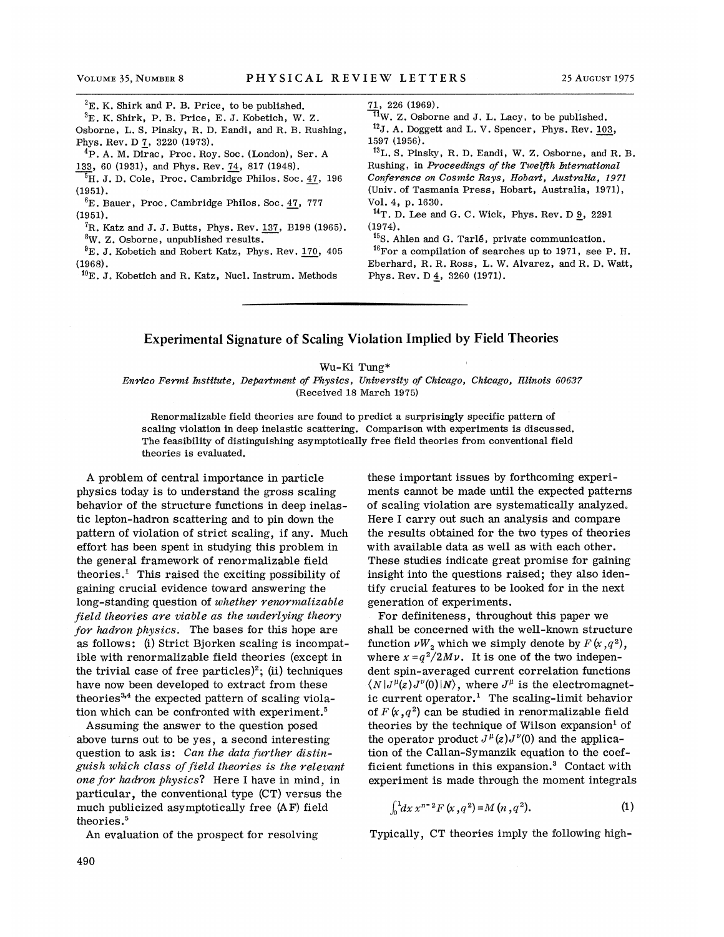${}^{2}E$ . K. Shirk and P. B. Price, to be published.

~E. K. Shirk, P. B. Price, E.J. Kobetich, W. Z.

Osborne, L. S. Pinsky, R. D. Eandi, and R. B. Rushing, Phys. Bev. D 7, 3220 (1978).

 ${}^{4}P$ . A. M. Dirac, Proc. Roy. Soc. (London), Ser. A 133, 60 (1931), and Phys. Rev. 74, 817 (1948).

 $\overline{^{5}H}$ . J. D. Cole, Proc. Cambridge Philos. Soc. 47, 196 (1951).

E. Bauer, Proc. Cambridge Philos. Soc. 47, 777 (1951).

 ${}^{7}$ R. Katz and J. J. Butts, Phys. Rev. 137, B198 (1965).

 $8W.$  Z. Osborne, unpublished results.

<sup>9</sup>E. J. Kobetich and Robert Katz, Phys. Rev. 170, 405 (1968}.

 $^{10}E$ . J. Kobetich and R. Katz, Nucl. Instrum. Methods

71, 226 (1969).

 $^{71}$ W. Z. Osborne and J. L. Lacy, to be published.  $12$ J. A. Doggett and L. V. Spencer, Phys. Rev. 103, 1597 {1956).

 $^{13}$ L. S. Pinsky, R. D. Eandi, W. Z. Osborne, and R. B. Rushing, in Proceedings of the Twelfth International Conference on Cosmic Rays, Hobart, Australia, 1971 (Univ. of Tasmania Press, Hobart, Australia, 1971), Vol. 4, p. 1680.

 $^{14}$ T. D. Lee and G. C. Wick, Phys. Rev. D 9, 2291 (1974).

 $^{15}$ S. Ahlen and G. Tarlé, private communication.

 $^{16}$ For a compilation of searches up to 1971, see P.H. Eberhard, R. R. Ross, L. W. Alvarez, and R. D. Watt, Phys. Rev. D 4, 3260 (1971).

## Experimental Signature of Scaling Violation Implied by Field Theories

Wu-Ki Tung\*

Enrico Fermi Institute, Department of Physics, University of Chicago, Chicago, Illinois 60637 (Received 18 March 1975)

Benormalizable field theories are found to predict a surprisingly specific pattern of scaling violation in deep inelastic scattering. Comparison with experiments is discussed. The feasibility of distinguishing asymptotically free field theories from conventional field theories is evaluated.

A problem of central importance in particle physics today is to understand the gross scaling behavior of the structure functions in deep inelastic lepton-hadron scattering and to pin down the pattern of violation of strict scaling, if any. Much effort has been spent in studying this problem in the general framework of renormalizable field theories.<sup>1</sup> This raised the exciting possibility of gaining crucial evidence toward answering the long-standing question of whether renormalizable field theories are viable as the underlying theory for hadron physics. The bases for this hope are as follows: (i) Strict Bjorken scaling is incompatible with renormalizable field theories (except in the trivial case of free particles)<sup>2</sup>; (ii) techniques have now been developed to extract from these theories $34$ <sup>4</sup> the expected pattern of scaling violation which can be confronted with experiment.<sup>5</sup>

Assuming the answer to the question posed above turns out to be yes, a second interesting question to ask is: Can the data further distinguish which class of field theories is the relevant one for hadron physics' Here I have in mind, in particular, the conventional type (CT) versus the much publicized asymptotically free (AF) field theories.<sup>5</sup>

An evaluation of the prospect for resolving

these important issues by forthcoming experiments cannot be made until the expected patterns of scaling violation are systematically analyzed. Here I carry out such an analysis and compare the results obtained for the two types of theories with available data as well as with each other. These studies indicate great promise for gaining insight into the questions raised; they also identify crucial features to be looked for in the next generation of experiments.

For definiteness, throughout this paper we shall be concerned with the well-known structure function  $\nu W$ , which we simply denote by  $F(x,q^2)$ , where  $x = q^2/2M\nu$ . It is one of the two independent spin-averaged current correlation functions  $\langle N|J^{\mu}(z)J^{\nu}(0)|N\rangle$ , where  $J^{\mu}$  is the electromagnetic current operator.<sup>1</sup> The scaling-limit behavior of  $F(x,q^2)$  can be studied in renormalizable field theories by the technique of Wilson expansion' of the operator product  $J^{\mu}(z)J^{\nu}(0)$  and the application of the Callan-Symanzik equation to the coefficient functions in this expansion.<sup>3</sup> Contact with experiment is made through the moment integrals

$$
\int_0^1 dx \, x^{n-2} F(x, q^2) = M(n, q^2).
$$
 (1)

Typically, CT theories imply the following high-